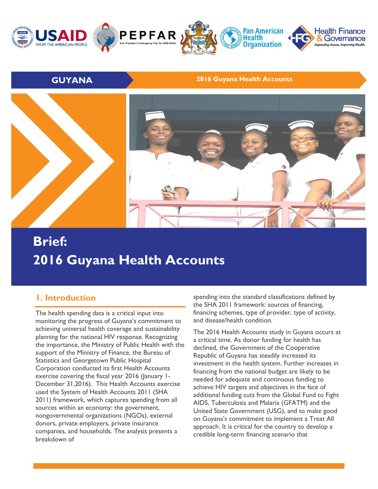

#### **GUYANA 2016 Guyana Health Accounts**



# **Brief: 2016 Guyana Health Accounts**

### **1. Introduction**

The health spending data is a critical input into monitoring the progress of Guyana's commitment to achieving universal health coverage and sustainability planning for the national HIV response. Recognizing the importance, the Ministry of Public Health with the support of the Ministry of Finance, the Bureau of Statistics and Georgetown Public Hospital Corporation conducted its first Health Accounts exercise covering the fiscal year 2016 (January 1- December 31,2016). This Health Accounts exercise used the System of Health Accounts 2011 (SHA 2011) framework, which captures spending from all sources within an economy: the government, nongovernmental organizations (NGOs), external donors, private employers, private insurance companies, and households. The analysis presents a breakdown of

spending into the standard classifications defined by the SHA 2011 framework: sources of financing, financing schemes, type of provider, type of activity, and disease/health condition.

The 2016 Health Accounts study in Guyana occurs at a critical time. As donor funding for health has declined, the Government of the Cooperative Republic of Guyana has steadily increased its investment in the health system. Further increases in financing from the national budget are likely to be needed for adequate and continuous funding to achieve HIV targets and objectives in the face of additional funding cuts from the Global Fund to Fight AIDS, Tuberculosis and Malaria (GFATM) and the United State Government (USG), and to make good on Guyana's commitment to implement a Treat All approach. It is critical for the country to develop a credible long-term financing scenario that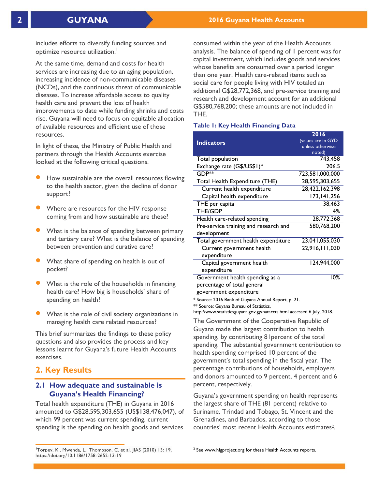includes efforts to diversify funding sources and optimize resource utilization. 1

At the same time, demand and costs for health services are increasing due to an aging population, increasing incidence of non-communicable diseases (NCDs), and the continuous threat of communicable diseases. To increase affordable access to quality health care and prevent the loss of health improvements to date while funding shrinks and costs rise, Guyana will need to focus on equitable allocation of available resources and efficient use of those resources.

In light of these, the Ministry of Public Health and partners through the Health Accounts exercise looked at the following critical questions.

- How sustainable are the overall resources flowing to the health sector, given the decline of donor support?
- Where are resources for the HIV response coming from and how sustainable are these?
- What is the balance of spending between primary and tertiary care? What is the balance of spending between prevention and curative care?
- What share of spending on health is out of pocket?
- What is the role of the households in financing health care? How big is households' share of spending on health?
- What is the role of civil society organizations in managing health care related resources?

This brief summarizes the findings to these policy questions and also provides the process and key lessons learnt for Guyana's future Health Accounts exercises.

### **2. Key Results**

 $\overline{a}$ 

#### **2.1 How adequate and sustainable is Guyana's Health Financing?**

Total health expenditure (THE) in Guyana in 2016 amounted to G\$28,595,303,655 (US\$138,476,047), of which 99 percent was current spending. current spending is the spending on health goods and services

consumed within the year of the Health Accounts analysis. The balance of spending of 1 percent was for capital investment, which includes goods and services whose benefits are consumed over a period longer than one year. Health care-related items such as social care for people living with HIV totaled an additional G\$28,772,368, and pre-service training and research and development account for an additional G\$580,768,200; these amounts are not included in THE.

#### **Table 1: Key Health Financing Data**

| <b>Indicators</b>                     | 2016<br>(values are in GYD<br>unless otherwise<br>noted) |
|---------------------------------------|----------------------------------------------------------|
| Total population                      | 743,458                                                  |
| Exchange rate (G\$/US\$1)*            | 206.5                                                    |
| GDP**                                 | 723,581,000,000                                          |
| Total Health Expenditure (THE)        | 28,595,303,655                                           |
| Current health expenditure            | 28,422,162,398                                           |
| Capital health expenditure            | 173, 141, 256                                            |
| THE per capita                        | 38,463                                                   |
| <b>THE/GDP</b>                        | 4%                                                       |
| Health care-related spending          | 28,772,368                                               |
| Pre-service training and research and | 580,768,200                                              |
| development                           |                                                          |
| Total government health expenditure   | 23,041,055,030                                           |
| Current government health             | 22,916,111,030                                           |
| expenditure                           |                                                          |
| Capital government health             | 124,944,000                                              |
| expenditure                           |                                                          |
| Government health spending as a       | 10%                                                      |
| percentage of total general           |                                                          |
| government expenditure                |                                                          |

\* Source: 2016 Bank of Guyana Annual Report, p. 21.

\*\* Source: Guyana Bureau of Statistics,

http://www.statisticsguyana.gov.gy/nataccts.html accessed 6 July, 2018.

The Government of the Cooperative Republic of Guyana made the largest contribution to health spending, by contributing 81percent of the total spending. The substantial government contribution to health spending comprised 10 percent of the government's total spending in the fiscal year. The percentage contributions of households, employers and donors amounted to 9 percent, 4 percent and 6 percent, respectively.

Guyana's government spending on health represents the largest share of THE (81 percent) relative to Suriname, Trindad and Tobago, St. Vincent and the Grenadines, and Barbados, according to those countries' most recent Health Accounts estimates2.

<sup>1</sup>Torpey, K., Mwenda, L., Thompson, C. et al. JIAS (2010) 13: 19. https://doi.org/10.1186/1758-2652-13-19

 $2$  See www.hfgproject.org for these Health Accounts reports.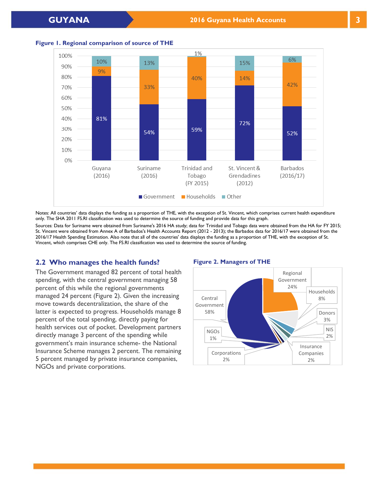



Notes: All countries' data displays the funding as a proportion of THE, with the exception of St. Vincent, which comprises current health expenditure only. The SHA 2011 FS.RI classification was used to determine the source of funding and provide data for this graph.

Sources: Data for Suriname were obtained from Suriname's 2016 HA study; data for Trinidad and Tobago data were obtained from the HA for FY 2015; St. Vincent were obtained from Annex A of Barbados's Health Accounts Report (2012 - 2013); the Barbados data for 2016/17 were obtained from the 2016/17 Health Spending Estimation. Also note that all of the countries' data displays the funding as a proportion of THE, with the exception of St. Vincent, which comprises CHE only. The FS.RI classification was used to determine the source of funding.

#### **2.2 Who manages the health funds?**

The Government managed 82 percent of total health spending, with the central government managing 58 percent of this while the regional governments managed 24 percent (Figure 2). Given the increasing move towards decentralization, the share of the latter is expected to progress. Households manage 8 percent of the total spending, directly paying for health services out of pocket. Development partners directly manage 3 percent of the spending while government's main insurance scheme- the National Insurance Scheme manages 2 percent. The remaining 5 percent managed by private insurance companies, NGOs and private corporations.

#### **Figure 2. Managers of THE**

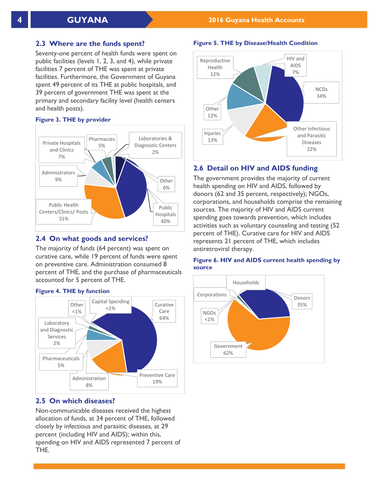#### **2.3 Where are the funds spent?**

Seventy-one percent of health funds were spent on public facilities (levels 1, 2, 3, and 4), while private facilities 7 percent of THE was spent at private facilities. Furthermore, the Government of Guyana spent 49 percent of its THE at public hospitals, and 39 percent of government THE was spent at the primary and secondary facility level (health centers and health posts).

#### **Figure 3. THE by provider**



#### **2.4 On what goods and services?**

The majority of funds (64 percent) was spent on curative care, while 19 percent of funds were spent on preventive care. Administration consumed 8 percent of THE, and the purchase of pharmaceuticals accounted for 5 percent of THE.



#### **Figure 4. THE by function**

### **2.5 On which diseases?**

Non-communicable diseases received the highest allocation of funds, at 34 percent of THE, followed closely by infectious and parasitic diseases, at 29 percent (including HIV and AIDS); within this, spending on HIV and AIDS represented 7 percent of THE.





#### **2.6 Detail on HIV and AIDS funding**

The government provides the majority of current health spending on HIV and AIDS, followed by donors (62 and 35 percent, respectively); NGOs, corporations, and households comprise the remaining sources. The majority of HIV and AIDS current spending goes towards prevention, which includes activities such as voluntary counseling and testing (52 percent of THE). Curative care for HIV and AIDS represents 21 percent of THE, which includes antiretroviral therapy.

#### **Figure 6. HIV and AIDS current health spending by source**

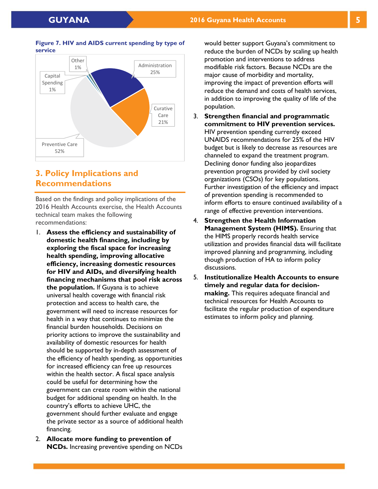

#### **Figure 7. HIV and AIDS current spending by type of service**

## **3. Policy Implications and Recommendations**

Based on the findings and policy implications of the 2016 Health Accounts exercise, the Health Accounts technical team makes the following recommendations:

- 1. **Assess the efficiency and sustainability of domestic health financing, including by exploring the fiscal space for increasing health spending, improving allocative efficiency, increasing domestic resources for HIV and AIDs, and diversifying health financing mechanisms that pool risk across the population.** If Guyana is to achieve universal health coverage with financial risk protection and access to health care, the government will need to increase resources for health in a way that continues to minimize the financial burden households. Decisions on priority actions to improve the sustainability and availability of domestic resources for health should be supported by in-depth assessment of the efficiency of health spending, as opportunities for increased efficiency can free up resources within the health sector. A fiscal space analysis could be useful for determining how the government can create room within the national budget for additional spending on health. In the country's efforts to achieve UHC, the government should further evaluate and engage the private sector as a source of additional health financing.
- 2. **Allocate more funding to prevention of NCDs.** Increasing preventive spending on NCDs

would better support Guyana's commitment to reduce the burden of NCDs by scaling up health promotion and interventions to address modifiable risk factors. Because NCDs are the major cause of morbidity and mortality, improving the impact of prevention efforts will reduce the demand and costs of health services, in addition to improving the quality of life of the population.

- 3. **Strengthen financial and programmatic commitment to HIV prevention services.**  HIV prevention spending currently exceed UNAIDS recommendations for 25% of the HIV budget but is likely to decrease as resources are channeled to expand the treatment program. Declining donor funding also jeopardizes prevention programs provided by civil society organizations (CSOs) for key populations. Further investigation of the efficiency and impact of prevention spending is recommended to inform efforts to ensure continued availability of a range of effective prevention interventions.
- 4. **Strengthen the Health Information Management System (HIMS).** Ensuring that the HIMS properly records health service utilization and provides financial data will facilitate improved planning and programming, including though production of HA to inform policy discussions.
- 5. **Institutionalize Health Accounts to ensure timely and regular data for decisionmaking.** This requires adequate financial and technical resources for Health Accounts to facilitate the regular production of expenditure estimates to inform policy and planning.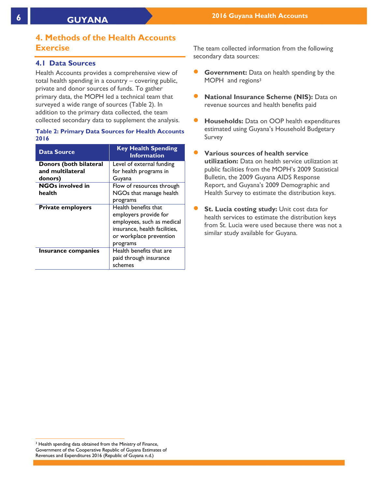## **4. Methods of the Health Accounts Exercise**

#### **4.1 Data Sources**

Health Accounts provides a comprehensive view of total health spending in a country – covering public, private and donor sources of funds. To gather primary data, the MOPH led a technical team that surveyed a wide range of sources (Table 2). In addition to the primary data collected, the team collected secondary data to supplement the analysis.

#### **Table 2: Primary Data Sources for Health Accounts 2016**

| <b>Data Source</b>       | <b>Key Health Spending</b><br><b>Information</b>                                                                                                    |
|--------------------------|-----------------------------------------------------------------------------------------------------------------------------------------------------|
| Donors (both bilateral   | Level of external funding                                                                                                                           |
| and multilateral         | for health programs in                                                                                                                              |
| donors)                  | Guyana                                                                                                                                              |
| <b>NGOs involved in</b>  | Flow of resources through                                                                                                                           |
| health                   | NGOs that manage health                                                                                                                             |
|                          | programs                                                                                                                                            |
| <b>Private employers</b> | Health benefits that<br>employers provide for<br>employees, such as medical<br>insurance, health facilities,<br>or workplace prevention<br>programs |
| Insurance companies      | Health benefits that are<br>paid through insurance<br>schemes                                                                                       |

The team collected information from the following secondary data sources:

- **Government:** Data on health spending by the MOPH and regions<sup>3</sup>
- **National Insurance Scheme (NIS):** Data on revenue sources and health benefits paid
- **Households:** Data on OOP health expenditures estimated using Guyana's Household Budgetary Survey
- **Various sources of health service utilization:** Data on health service utilization at public facilities from the MOPH's 2009 Statistical Bulletin, the 2009 Guyana AIDS Response Report, and Guyana's 2009 Demographic and Health Survey to estimate the distribution keys.
- **St. Lucia costing study:** Unit cost data for health services to estimate the distribution keys from St. Lucia were used because there was not a similar study available for Guyana.

 $\overline{a}$ <sup>3</sup> Health spending data obtained from the Ministry of Finance, Government of the Cooperative Republic of Guyana Estimates of Revenues and Expenditures 2016 (Republic of Guyana n.d.)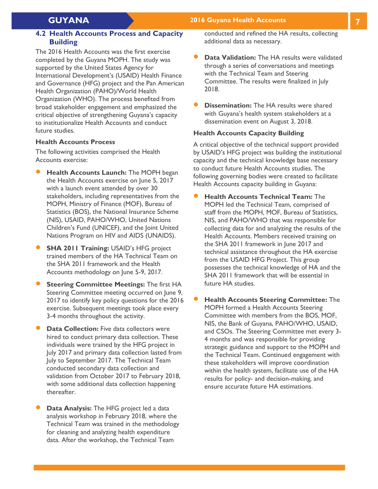#### **GUYANA 2016 Guyana Health Accounts 7**

#### **4.2 Health Accounts Process and Capacity Building**

The 2016 Health Accounts was the first exercise completed by the Guyana MOPH. The study was supported by the United States Agency for International Development's (USAID) Health Finance and Governance (HFG) project and the Pan American Health Organization (PAHO)/World Health Organization (WHO). The process benefited from broad stakeholder engagement and emphasized the critical objective of strengthening Guyana's capacity to institutionalize Health Accounts and conduct future studies.

#### **Health Accounts Process**

The following activities comprised the Health Accounts exercise:

- **Health Accounts Launch:** The MOPH began the Health Accounts exercise on June 5, 2017 with a launch event attended by over 30 stakeholders, including representatives from the MOPH, Ministry of Finance (MOF), Bureau of Statistics (BOS), the National Insurance Scheme (NIS), USAID, PAHO/WHO, United Nations Children's Fund (UNICEF), and the Joint United Nations Program on HIV and AIDS (UNAIDS).
- **SHA 2011 Training:** USAID's HFG project trained members of the HA Technical Team on the SHA 2011 framework and the Health Accounts methodology on June 5-9, 2017.
- **Steering Committee Meetings:** The first HA Steering Committee meeting occurred on June 9, 2017 to identify key policy questions for the 2016 exercise. Subsequent meetings took place every 3-4 months throughout the activity.
- **Data Collection:** Five data collectors were hired to conduct primary data collection. These individuals were trained by the HFG project in July 2017 and primary data collection lasted from July to September 2017. The Technical Team conducted secondary data collection and validation from October 2017 to February 2018, with some additional data collection happening thereafter.
- **Data Analysis:** The HFG project led a data analysis workshop in February 2018, where the Technical Team was trained in the methodology for cleaning and analyzing health expenditure data. After the workshop, the Technical Team

conducted and refined the HA results, collecting additional data as necessary.

- **Data Validation:** The HA results were validated through a series of conversations and meetings with the Technical Team and Steering Committee. The results were finalized in July 2018.
- **Dissemination:** The HA results were shared with Guyana's health system stakeholders at a dissemination event on August 3, 2018.

#### **Health Accounts Capacity Building**

A critical objective of the technical support provided by USAID's HFG project was building the institutional capacity and the technical knowledge base necessary to conduct future Health Accounts studies. The following governing bodies were created to facilitate Health Accounts capacity building in Guyana:

- **Health Accounts Technical Team:** The MOPH led the Technical Team, comprised of staff from the MOPH, MOF, Bureau of Statistics, NIS, and PAHO/WHO that was responsible for collecting data for and analyzing the results of the Health Accounts. Members received training on the SHA 2011 framework in June 2017 and technical assistance throughout the HA exercise from the USAID HFG Project. This group possesses the technical knowledge of HA and the SHA 2011 framework that will be essential in future HA studies.
- **Health Accounts Steering Committee:** The MOPH formed a Health Accounts Steering Committee with members from the BOS, MOF, NIS, the Bank of Guyana, PAHO/WHO, USAID, and CSOs. The Steering Committee met every 3- 4 months and was responsible for providing strategic guidance and support to the MOPH and the Technical Team. Continued engagement with these stakeholders will improve coordination within the health system, facilitate use of the HA results for policy- and decision-making, and ensure accurate future HA estimations.